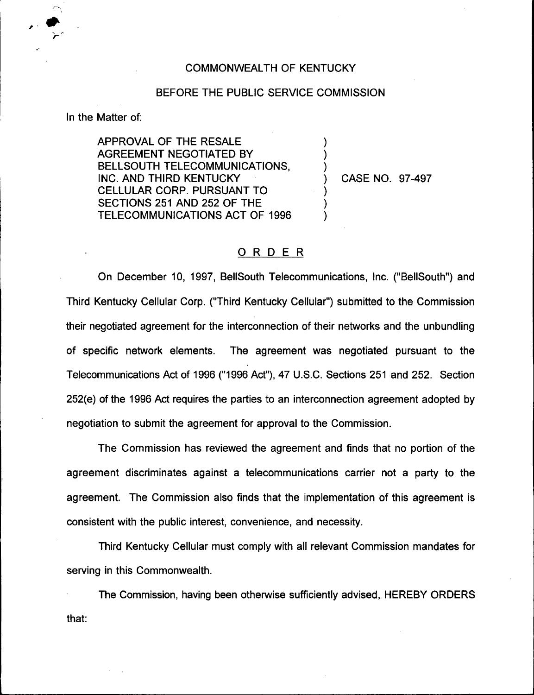## COMMONN/EALTH OF KENTUCKY

## BEFORE THE PUBLIC SERVICE COMMISSION

) ) )

> ) ) )

In the Matter of:

APPROVAL OF THE RESALE AGREEMENT NEGOTIATED BY BELLSOUTH TELECOMMUNICATIONS, INC. AND THIRD KENTUCKY CELLULAR CORP. PURSUANT TO SECTIONS 251 AND 252 OF THE TELECOMMUNICATIONS ACT OF 1996

) CASE NO. 97-497

## ORDER

On December 10, 1997, BelISouth Telecommunications, Inc. ("BellSouth") and Third Kentucky Cellular Corp. ("Third Kentucky Cellular") submitted to the Commissic their negotiated agreement for the interconnection of their networks and the unbundling of specific network elements. The agreement was negotiated pursuant to the Telecommunications Act of 1996 ("1996Act"), 47 U.S.C. Sections 251 and 252. Section 252(e) of the 1996 Act requires the parties to an interconnection agreement adopted by negotiation to submit the agreement for approval to the Commission.

The Commission has reviewed the agreement and finds that no portion of the agreement discriminates against a telecommunications carrier not a party to the agreement. The Commission also finds that the implementation of this agreement is consistent with the public interest, convenience, and necessity.

Third Kentucky Cellular must comply with all relevant Commission mandates for serving in this Commonwealth.

The Commission, having been otherwise sufficiently advised, HEREBY ORDERSthat: